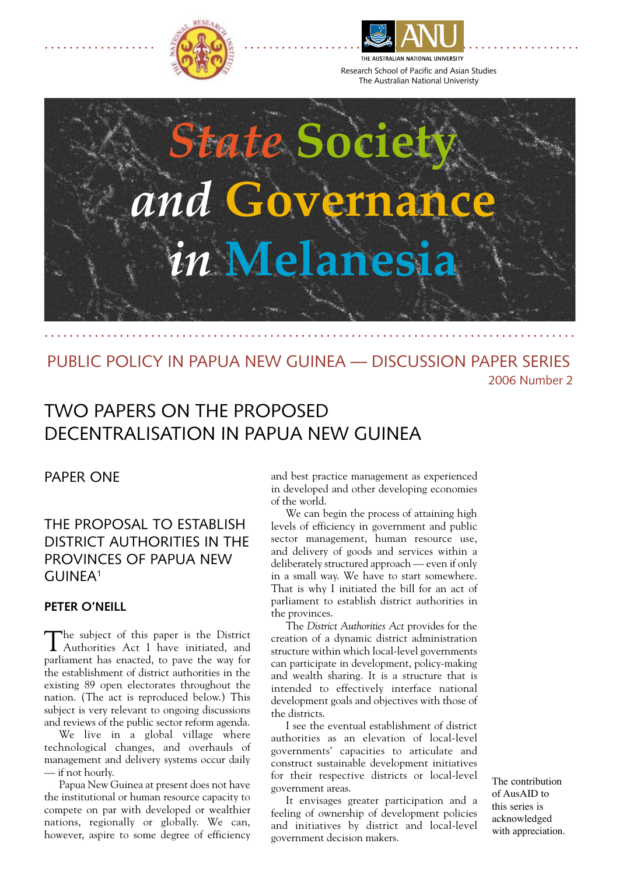



Research School of Pacific and Asian Studies The Australian National Univeristy



# PUBLIC POLICY IN PAPUA NEW GUINEA — DISCUSSION PAPER SERIES 2006 Number 2

# TWO PAPERS ON THE PROPOSED DECENTRALISATION IN PAPUA NEW GUINEA

## PAPER ONE

# THE PROPOSAL TO ESTABLISH DISTRICT AUTHORITIES IN THE PROVINCES OF PAPUA NEW GUINEA1

## **Peter O'Neill**

The subject of this paper is the District Authorities Act I have initiated, and parliament has enacted, to pave the way for the establishment of district authorities in the existing 89 open electorates throughout the nation. (The act is reproduced below.) This subject is very relevant to ongoing discussions and reviews of the public sector reform agenda.

We live in a global village where technological changes, and overhauls of management and delivery systems occur daily — if not hourly.

Papua New Guinea at present does not have the institutional or human resource capacity to compete on par with developed or wealthier nations, regionally or globally. We can, however, aspire to some degree of efficiency

and best practice management as experienced in developed and other developing economies of the world.

We can begin the process of attaining high levels of efficiency in government and public sector management, human resource use, and delivery of goods and services within a deliberately structured approach — even if only in a small way. We have to start somewhere. That is why I initiated the bill for an act of parliament to establish district authorities in the provinces.

The *District Authorities Act* provides for the creation of a dynamic district administration structure within which local-level governments can participate in development, policy-making and wealth sharing. It is a structure that is intended to effectively interface national development goals and objectives with those of the districts.

I see the eventual establishment of district authorities as an elevation of local-level governments' capacities to articulate and construct sustainable development initiatives for their respective districts or local-level government areas.

It envisages greater participation and a feeling of ownership of development policies and initiatives by district and local-level government decision makers.

The contribution of AusAID to this series is acknowledged with appreciation.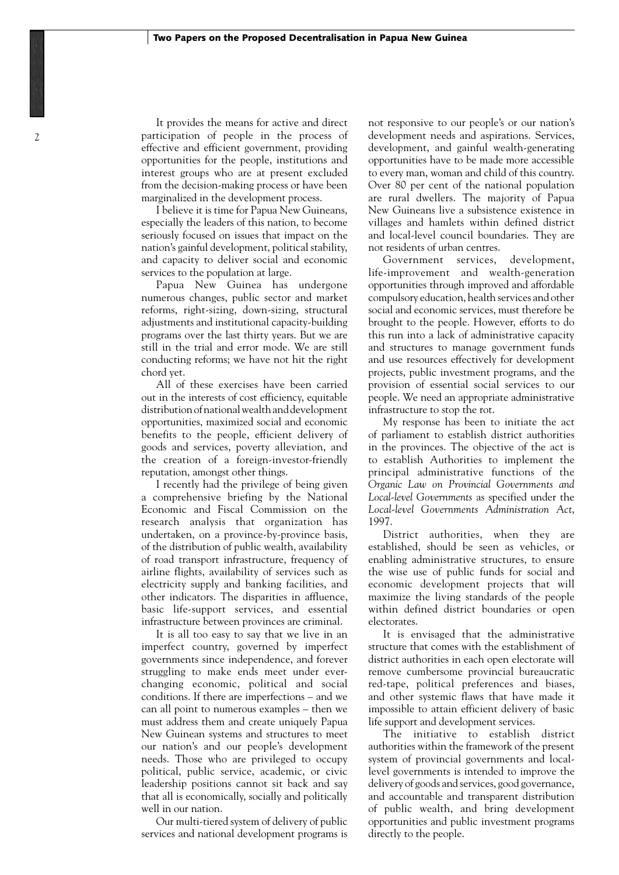It provides the means for active and direct participation of people in the process of effective and efficient government, providing opportunities for the people, institutions and interest groups who are at present excluded from the decision-making process or have been marginalized in the development process.

I believe it is time for Papua New Guineans, especially the leaders of this nation, to become seriously focused on issues that impact on the nation's gainful development, political stability, and capacity to deliver social and economic services to the population at large.

Papua New Guinea has undergone numerous changes, public sector and market reforms, right-sizing, down-sizing, structural adjustments and institutional capacity-building programs over the last thirty years. But we are still in the trial and error mode. We are still conducting reforms; we have not hit the right chord yet.

All of these exercises have been carried out in the interests of cost efficiency, equitable distribution of national wealth and development opportunities, maximized social and economic benefits to the people, efficient delivery of goods and services, poverty alleviation, and the creation of a foreign-investor-friendly reputation, amongst other things.

I recently had the privilege of being given a comprehensive briefing by the National Economic and Fiscal Commission on the research analysis that organization has undertaken, on a province-by-province basis, of the distribution of public wealth, availability of road transport infrastructure, frequency of airline flights, availability of services such as electricity supply and banking facilities, and other indicators. The disparities in affluence, basic life-support services, and essential infrastructure between provinces are criminal.

It is all too easy to say that we live in an imperfect country, governed by imperfect governments since independence, and forever struggling to make ends meet under everchanging economic, political and social conditions. If there are imperfections – and we can all point to numerous examples – then we must address them and create uniquely Papua New Guinean systems and structures to meet our nation's and our people's development needs. Those who are privileged to occupy political, public service, academic, or civic leadership positions cannot sit back and say that all is economically, socially and politically well in our nation.

Our multi-tiered system of delivery of public services and national development programs is not responsive to our people's or our nation's development needs and aspirations. Services, development, and gainful wealth-generating opportunities have to be made more accessible to every man, woman and child of this country. Over 80 per cent of the national population are rural dwellers. The majority of Papua New Guineans live a subsistence existence in villages and hamlets within defined district and local-level council boundaries. They are not residents of urban centres.

Government services, development, life-improvement and wealth-generation opportunities through improved and affordable compulsory education, health services and other social and economic services, must therefore be brought to the people. However, efforts to do this run into a lack of administrative capacity and structures to manage government funds and use resources effectively for development projects, public investment programs, and the provision of essential social services to our people. We need an appropriate administrative infrastructure to stop the rot.

My response has been to initiate the act of parliament to establish district authorities in the provinces. The objective of the act is to establish Authorities to implement the principal administrative functions of the *Organic Law on Provincial Governments and Local-level Governments* as specified under the *Local-level Governments Administration Act*, 1997.

District authorities, when they are established, should be seen as vehicles, or enabling administrative structures, to ensure the wise use of public funds for social and economic development projects that will maximize the living standards of the people within defined district boundaries or open electorates.

It is envisaged that the administrative structure that comes with the establishment of district authorities in each open electorate will remove cumbersome provincial bureaucratic red-tape, political preferences and biases, and other systemic flaws that have made it impossible to attain efficient delivery of basic life support and development services.

The initiative to establish district authorities within the framework of the present system of provincial governments and locallevel governments is intended to improve the delivery of goods and services, good governance, and accountable and transparent distribution of public wealth, and bring development opportunities and public investment programs directly to the people.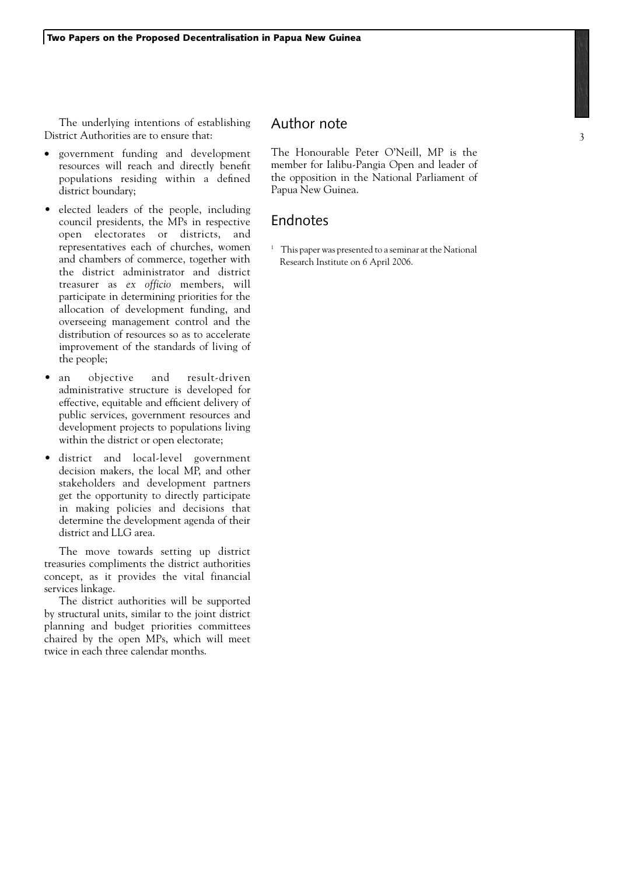The underlying intentions of establishing District Authorities are to ensure that:

- government funding and development resources will reach and directly benefit populations residing within a defined district boundary;
- elected leaders of the people, including council presidents, the MPs in respective open electorates or districts, and representatives each of churches, women and chambers of commerce, together with the district administrator and district treasurer as *ex officio* members, will participate in determining priorities for the allocation of development funding, and overseeing management control and the distribution of resources so as to accelerate improvement of the standards of living of the people;
- an objective and result-driven administrative structure is developed for effective, equitable and efficient delivery of public services, government resources and development projects to populations living within the district or open electorate;
- district and local-level government decision makers, the local MP, and other stakeholders and development partners get the opportunity to directly participate in making policies and decisions that determine the development agenda of their district and LLG area.

The move towards setting up district treasuries compliments the district authorities concept, as it provides the vital financial services linkage.

The district authorities will be supported by structural units, similar to the joint district planning and budget priorities committees chaired by the open MPs, which will meet twice in each three calendar months.

## Author note

The Honourable Peter O'Neill, MP is the member for Ialibu-Pangia Open and leader of the opposition in the National Parliament of Papua New Guinea.

## Endnotes

<sup>1</sup> This paper was presented to a seminar at the National Research Institute on 6 April 2006.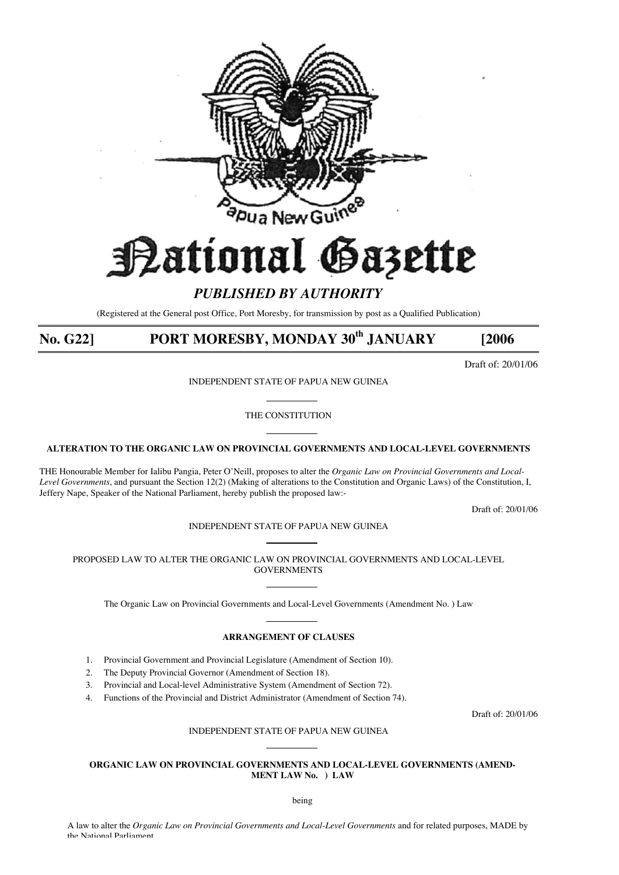

# Pational Ga3ette

# *PUBLISHED BY AUTHORITY*

(Registered at the General post Office, Port Moresby, for transmission by post as a Qualified Publication)

# **No. G22] PORT MORESBY, MONDAY 30th JANUARY [2006**

Draft of: 20/01/06

INDEPENDENT STATE OF PAPUA NEW GUINEA

THE CONSTITUTION

#### **ALTERATION TO THE ORGANIC LAW ON PROVINCIAL GOVERNMENTS AND LOCAL-LEVEL GOVERNMENTS**

THE Honourable Member for Ialibu Pangia, Peter O'Neill, proposes to alter the *Organic Law on Provincial Governments and Local-Level Governments*, and pursuant the Section 12(2) (Making of alterations to the Constitution and Organic Laws) of the Constitution, I, Jeffery Nape, Speaker of the National Parliament, hereby publish the proposed law:-

Draft of: 20/01/06

#### INDEPENDENT STATE OF PAPUA NEW GUINEA

PROPOSED LAW TO ALTER THE ORGANIC LAW ON PROVINCIAL GOVERNMENTS AND LOCAL-LEVEL **GOVERNMENTS** 

The Organic Law on Provincial Governments and Local-Level Governments (Amendment No. ) Law

#### **ARRANGEMENT OF CLAUSES**

- 1. Provincial Government and Provincial Legislature (Amendment of Section 10).
- 2. The Deputy Provincial Governor (Amendment of Section 18).
- 3. Provincial and Local-level Administrative System (Amendment of Section 72).
- 4. Functions of the Provincial and District Administrator (Amendment of Section 74).

Draft of: 20/01/06

#### INDEPENDENT STATE OF PAPUA NEW GUINEA

#### **ORGANIC LAW ON PROVINCIAL GOVERNMENTS AND LOCAL-LEVEL GOVERNMENTS (AMEND-MENT LAW No. ) LAW**

being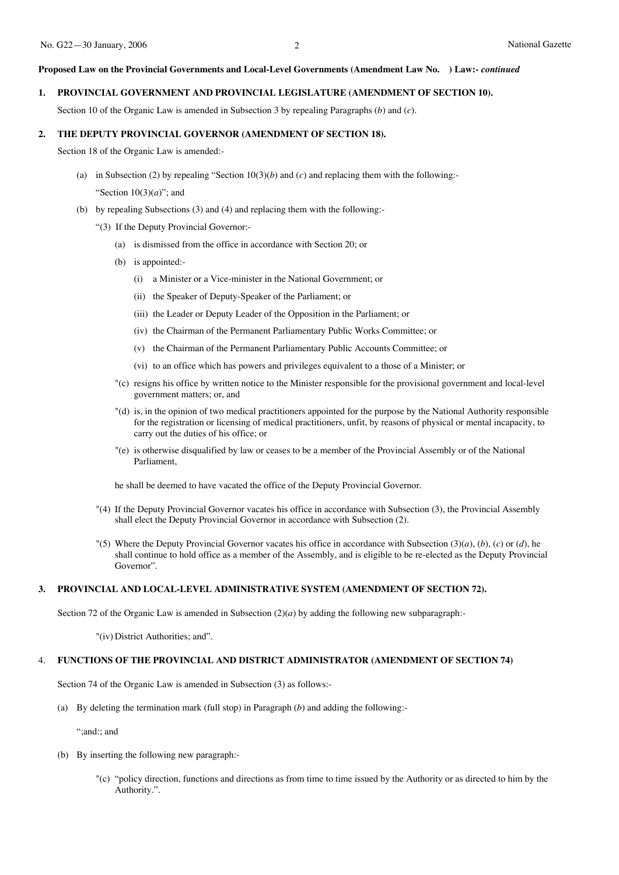#### **Proposed Law on the Provincial Governments and Local-Level Governments (Amendment Law No. ) Law:-** *continued*

#### **1. PROVINCIAL GOVERNMENT AND PROVINCIAL LEGISLATURE (AMENDMENT OF SECTION 10).**

Section 10 of the Organic Law is amended in Subsection 3 by repealing Paragraphs (*b*) and (*c*).

#### **2. THE DEPUTY PROVINCIAL GOVERNOR (AMENDMENT OF SECTION 18).**

Section 18 of the Organic Law is amended:-

- (a) in Subsection (2) by repealing "Section 10(3)(*b*) and (*c*) and replacing them with the following:- "Section 10(3)(*a*)"; and
- (b) by repealing Subsections (3) and (4) and replacing them with the following:-
	- "(3) If the Deputy Provincial Governor:-
		- (a) is dismissed from the office in accordance with Section 20; or
		- (b) is appointed:-
			- (i) a Minister or a Vice-minister in the National Government; or
			- (ii) the Speaker of Deputy-Speaker of the Parliament; or
			- (iii) the Leader or Deputy Leader of the Opposition in the Parliament; or
			- (iv) the Chairman of the Permanent Parliamentary Public Works Committee; or
			- (v) the Chairman of the Permanent Parliamentary Public Accounts Committee; or
			- (vi) to an office which has powers and privileges equivalent to a those of a Minister; or
		- "(c) resigns his office by written notice to the Minister responsible for the provisional government and local-level government matters; or, and
		- "(d) is, in the opinion of two medical practitioners appointed for the purpose by the National Authority responsible for the registration or licensing of medical practitioners, unfit, by reasons of physical or mental incapacity, to carry out the duties of his office; or
		- "(e) is otherwise disqualified by law or ceases to be a member of the Provincial Assembly or of the National Parliament,

he shall be deemed to have vacated the office of the Deputy Provincial Governor.

- "(4) If the Deputy Provincial Governor vacates his office in accordance with Subsection (3), the Provincial Assembly shall elect the Deputy Provincial Governor in accordance with Subsection (2).
- "(5) Where the Deputy Provincial Governor vacates his office in accordance with Subsection (3)(*a*), (*b*), (*c*) or (*d*), he shall continue to hold office as a member of the Assembly, and is eligible to be re-elected as the Deputy Provincial Governor".

#### **3. PROVINCIAL AND LOCAL-LEVEL ADMINISTRATIVE SYSTEM (AMENDMENT OF SECTION 72).**

Section 72 of the Organic Law is amended in Subsection  $(2)(a)$  by adding the following new subparagraph:

"(iv) District Authorities; and".

#### 4. **FUNCTIONS OF THE PROVINCIAL AND DISTRICT ADMINISTRATOR (AMENDMENT OF SECTION 74)**

Section 74 of the Organic Law is amended in Subsection (3) as follows:-

(a) By deleting the termination mark (full stop) in Paragraph (*b*) and adding the following:-

";and:; and

- (b) By inserting the following new paragraph:-
	- "(c) "policy direction, functions and directions as from time to time issued by the Authority or as directed to him by the Authority.".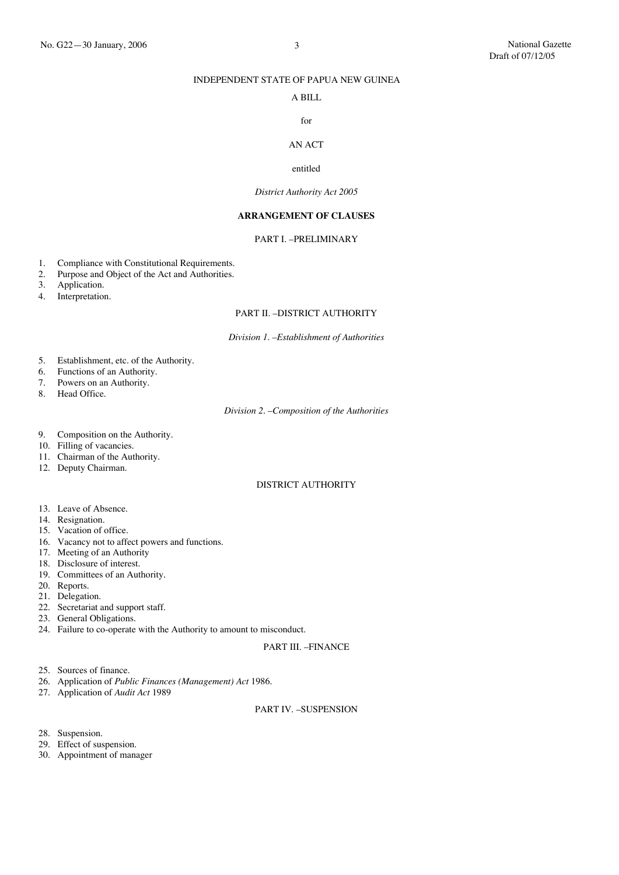#### INDEPENDENT STATE OF PAPUA NEW GUINEA

#### A BILL

#### for

## AN ACT

#### entitled

#### *District Authority Act 2005*

#### **ARRANGEMENT OF CLAUSES**

#### PART I. –PRELIMINARY

- 1. Compliance with Constitutional Requirements.<br>2. Purpose and Object of the Act and Authorities.
- Purpose and Object of the Act and Authorities.
- 3. Application.
- 4. Interpretation.

#### PART II. –DISTRICT AUTHORITY

#### *Division 1. –Establishment of Authorities*

- 5. Establishment, etc. of the Authority.
- 6. Functions of an Authority.<br>7. Powers on an Authority.
- 7. Powers on an Authority.<br>8. Head Office.
- Head Office.

#### *Division 2. –Composition of the Authorities*

- 9. Composition on the Authority.
- 10. Filling of vacancies.
- 11. Chairman of the Authority.
- 12. Deputy Chairman.

#### DISTRICT AUTHORITY

- 13. Leave of Absence.
- 14. Resignation.
- 15. Vacation of office.
- 16. Vacancy not to affect powers and functions.
- 17. Meeting of an Authority
- 18. Disclosure of interest.
- 19. Committees of an Authority.
- 20. Reports.
- 21. Delegation.
- 22. Secretariat and support staff.
- 23. General Obligations.
- 24. Failure to co-operate with the Authority to amount to misconduct.

#### PART III. –FINANCE

- 25. Sources of finance.
- 26. Application of *Public Finances (Management) Act* 1986.
- 27. Application of *Audit Act* 1989

#### PART IV. –SUSPENSION

- 28. Suspension.
- 29. Effect of suspension.
- 30. Appointment of manager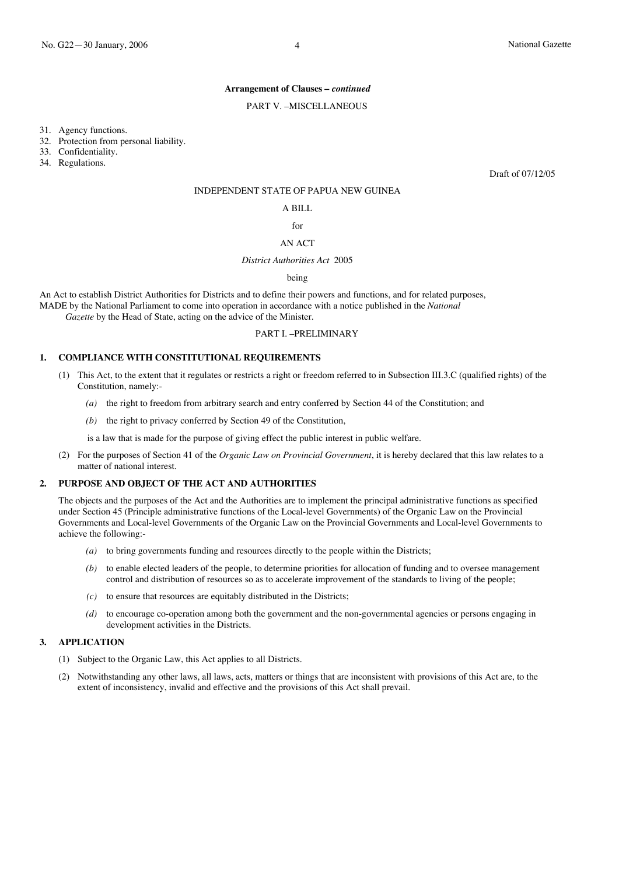#### **Arrangement of Clauses –** *continued*

#### PART V. –MISCELLANEOUS

31. Agency functions.

32. Protection from personal liability.

33. Confidentiality.

34. Regulations.

Draft of 07/12/05

#### INDEPENDENT STATE OF PAPUA NEW GUINEA

#### A BILL

 $f_{\Omega}r$ 

#### AN ACT

#### *District Authorities Act* 2005

being

An Act to establish District Authorities for Districts and to define their powers and functions, and for related purposes, MADE by the National Parliament to come into operation in accordance with a notice published in the *National*

 *Gazette* by the Head of State, acting on the advice of the Minister.

#### PART I. –PRELIMINARY

#### **1. COMPLIANCE WITH CONSTITUTIONAL REQUIREMENTS**

- (1) This Act, to the extent that it regulates or restricts a right or freedom referred to in Subsection III.3.C (qualified rights) of the Constitution, namely:-
	- *(a)* the right to freedom from arbitrary search and entry conferred by Section 44 of the Constitution; and
	- *(b)* the right to privacy conferred by Section 49 of the Constitution,

is a law that is made for the purpose of giving effect the public interest in public welfare.

(2) For the purposes of Section 41 of the *Organic Law on Provincial Government*, it is hereby declared that this law relates to a matter of national interest.

#### **2. PURPOSE AND OBJECT OF THE ACT AND AUTHORITIES**

The objects and the purposes of the Act and the Authorities are to implement the principal administrative functions as specified under Section 45 (Principle administrative functions of the Local-level Governments) of the Organic Law on the Provincial Governments and Local-level Governments of the Organic Law on the Provincial Governments and Local-level Governments to achieve the following:-

- *(a)* to bring governments funding and resources directly to the people within the Districts;
- *(b)* to enable elected leaders of the people, to determine priorities for allocation of funding and to oversee management control and distribution of resources so as to accelerate improvement of the standards to living of the people;
- *(c)* to ensure that resources are equitably distributed in the Districts;
- *(d)* to encourage co-operation among both the government and the non-governmental agencies or persons engaging in development activities in the Districts.

#### **3. APPLICATION**

- (1) Subject to the Organic Law, this Act applies to all Districts.
- (2) Notwithstanding any other laws, all laws, acts, matters or things that are inconsistent with provisions of this Act are, to the extent of inconsistency, invalid and effective and the provisions of this Act shall prevail.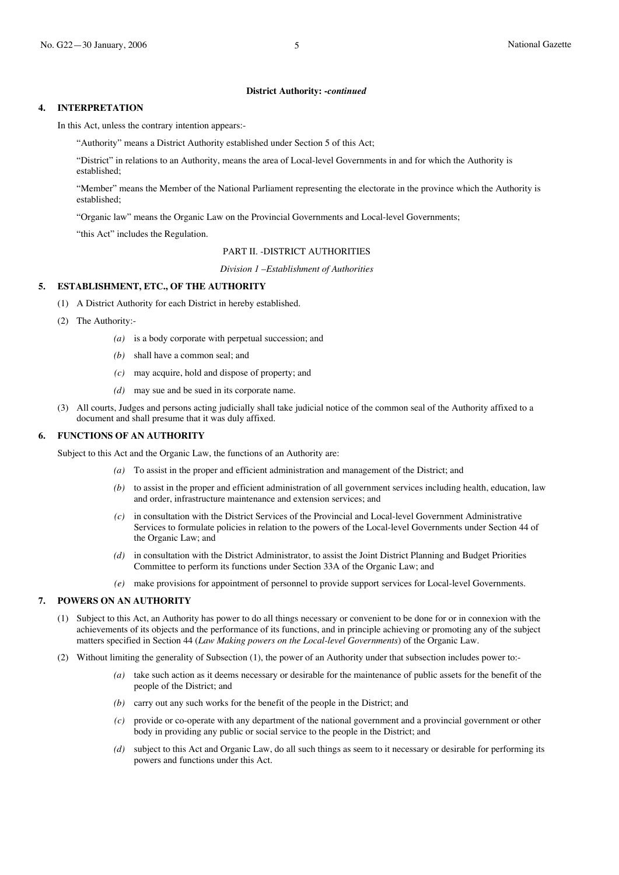#### **4. INTERPRETATION**

In this Act, unless the contrary intention appears:-

"Authority" means a District Authority established under Section 5 of this Act;

"District" in relations to an Authority, means the area of Local-level Governments in and for which the Authority is established;

"Member" means the Member of the National Parliament representing the electorate in the province which the Authority is established;

"Organic law" means the Organic Law on the Provincial Governments and Local-level Governments;

"this Act" includes the Regulation.

#### PART II. -DISTRICT AUTHORITIES

*Division 1 –Establishment of Authorities*

#### **5. ESTABLISHMENT, ETC., OF THE AUTHORITY**

- (1) A District Authority for each District in hereby established.
- (2) The Authority:-
	- *(a)* is a body corporate with perpetual succession; and
	- *(b)* shall have a common seal; and
	- *(c)* may acquire, hold and dispose of property; and
	- *(d)* may sue and be sued in its corporate name.
- (3) All courts, Judges and persons acting judicially shall take judicial notice of the common seal of the Authority affixed to a document and shall presume that it was duly affixed.

#### **6. FUNCTIONS OF AN AUTHORITY**

Subject to this Act and the Organic Law, the functions of an Authority are:

- *(a)* To assist in the proper and efficient administration and management of the District; and
- *(b)* to assist in the proper and efficient administration of all government services including health, education, law and order, infrastructure maintenance and extension services; and
- *(c)* in consultation with the District Services of the Provincial and Local-level Government Administrative Services to formulate policies in relation to the powers of the Local-level Governments under Section 44 of the Organic Law; and
- *(d)* in consultation with the District Administrator, to assist the Joint District Planning and Budget Priorities Committee to perform its functions under Section 33A of the Organic Law; and
- *(e)* make provisions for appointment of personnel to provide support services for Local-level Governments.

#### **7. POWERS ON AN AUTHORITY**

- (1) Subject to this Act, an Authority has power to do all things necessary or convenient to be done for or in connexion with the achievements of its objects and the performance of its functions, and in principle achieving or promoting any of the subject matters specified in Section 44 (*Law Making powers on the Local-level Governments*) of the Organic Law.
- (2) Without limiting the generality of Subsection (1), the power of an Authority under that subsection includes power to:-
	- *(a)* take such action as it deems necessary or desirable for the maintenance of public assets for the benefit of the people of the District; and
	- *(b)* carry out any such works for the benefit of the people in the District; and
	- *(c)* provide or co-operate with any department of the national government and a provincial government or other body in providing any public or social service to the people in the District; and
	- *(d)* subject to this Act and Organic Law, do all such things as seem to it necessary or desirable for performing its powers and functions under this Act.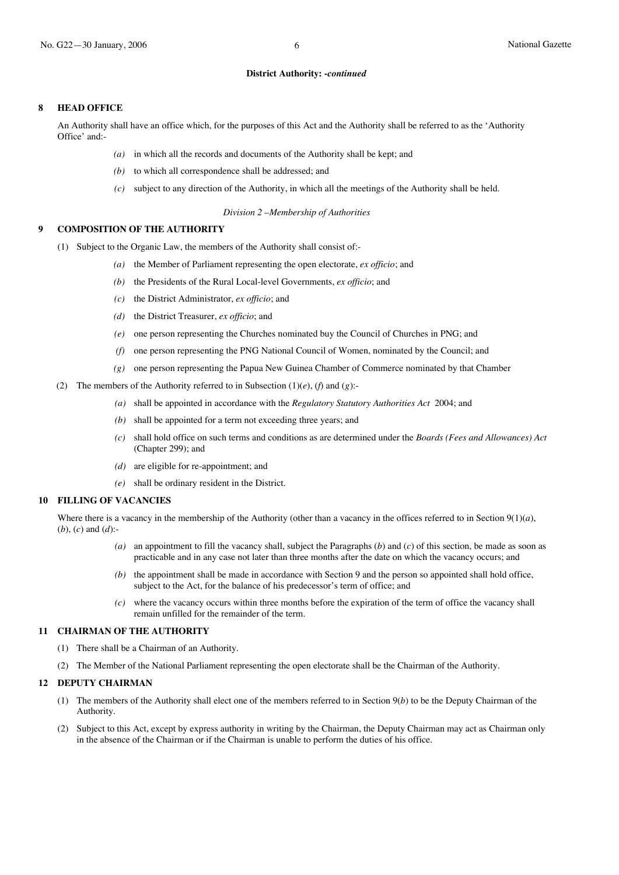#### **8 HEAD OFFICE**

An Authority shall have an office which, for the purposes of this Act and the Authority shall be referred to as the 'Authority Office' and:-

- *(a)* in which all the records and documents of the Authority shall be kept; and
- *(b)* to which all correspondence shall be addressed; and
- *(c)* subject to any direction of the Authority, in which all the meetings of the Authority shall be held.

*Division 2 –Membership of Authorities*

#### **9 COMPOSITION OF THE AUTHORITY**

- (1) Subject to the Organic Law, the members of the Authority shall consist of:-
	- *(a)* the Member of Parliament representing the open electorate, *ex officio*; and
	- *(b)* the Presidents of the Rural Local-level Governments, *ex officio*; and
	- *(c)* the District Administrator, *ex officio*; and
	- *(d)* the District Treasurer, *ex officio*; and
	- *(e)* one person representing the Churches nominated buy the Council of Churches in PNG; and
	- *(f)* one person representing the PNG National Council of Women, nominated by the Council; and
	- *(g)* one person representing the Papua New Guinea Chamber of Commerce nominated by that Chamber
- (2) The members of the Authority referred to in Subsection  $(1)(e)$ ,  $(f)$  and  $(g)$ :-
	- *(a)* shall be appointed in accordance with the *Regulatory Statutory Authorities Act* 2004; and
	- *(b)* shall be appointed for a term not exceeding three years; and
	- *(c)* shall hold office on such terms and conditions as are determined under the *Boards (Fees and Allowances) Act* (Chapter 299); and
	- *(d)* are eligible for re-appointment; and
	- *(e)* shall be ordinary resident in the District.

#### **10 FILLING OF VACANCIES**

Where there is a vacancy in the membership of the Authority (other than a vacancy in the offices referred to in Section  $9(1)(a)$ , (*b*), (*c*) and (*d*):-

- *(a)* an appointment to fill the vacancy shall, subject the Paragraphs (*b*) and (*c*) of this section, be made as soon as practicable and in any case not later than three months after the date on which the vacancy occurs; and
- *(b)* the appointment shall be made in accordance with Section 9 and the person so appointed shall hold office, subject to the Act, for the balance of his predecessor's term of office; and
- *(c)* where the vacancy occurs within three months before the expiration of the term of office the vacancy shall remain unfilled for the remainder of the term.

#### **11 CHAIRMAN OF THE AUTHORITY**

- (1) There shall be a Chairman of an Authority.
- (2) The Member of the National Parliament representing the open electorate shall be the Chairman of the Authority.

#### **12 DEPUTY CHAIRMAN**

- (1) The members of the Authority shall elect one of the members referred to in Section 9(*b*) to be the Deputy Chairman of the Authority.
- (2) Subject to this Act, except by express authority in writing by the Chairman, the Deputy Chairman may act as Chairman only in the absence of the Chairman or if the Chairman is unable to perform the duties of his office.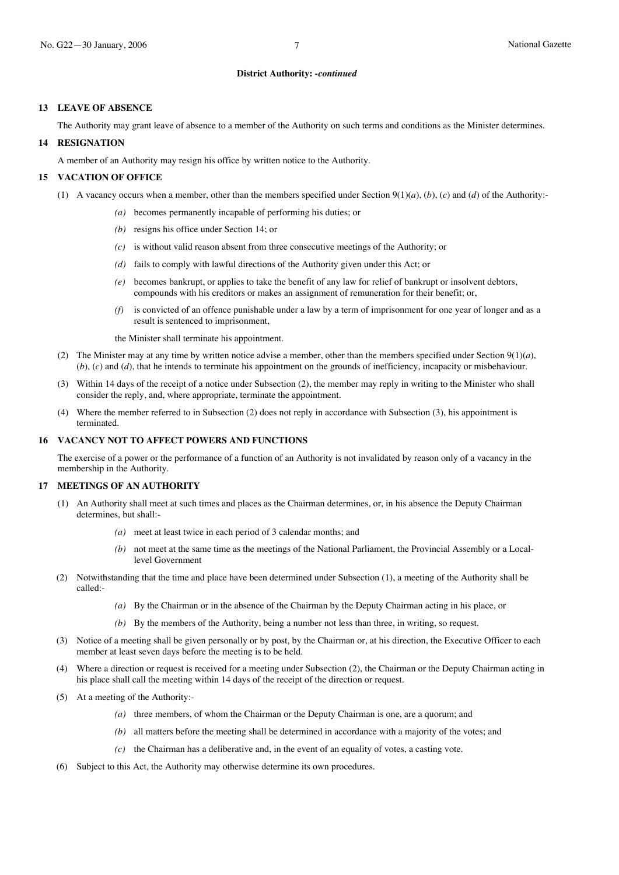#### **13 LEAVE OF ABSENCE**

The Authority may grant leave of absence to a member of the Authority on such terms and conditions as the Minister determines.

#### **14 RESIGNATION**

A member of an Authority may resign his office by written notice to the Authority.

#### **15 VACATION OF OFFICE**

- (1) A vacancy occurs when a member, other than the members specified under Section  $9(1)(a)$ ,  $(b)$ ,  $(c)$  and  $(d)$  of the Authority:-
	- *(a)* becomes permanently incapable of performing his duties; or
	- *(b)* resigns his office under Section 14; or
	- *(c)* is without valid reason absent from three consecutive meetings of the Authority; or
	- *(d)* fails to comply with lawful directions of the Authority given under this Act; or
	- *(e)* becomes bankrupt, or applies to take the benefit of any law for relief of bankrupt or insolvent debtors, compounds with his creditors or makes an assignment of remuneration for their benefit; or,
	- *(f)* is convicted of an offence punishable under a law by a term of imprisonment for one year of longer and as a result is sentenced to imprisonment,

the Minister shall terminate his appointment.

- (2) The Minister may at any time by written notice advise a member, other than the members specified under Section 9(1)(*a*), (*b*), (*c*) and (*d*), that he intends to terminate his appointment on the grounds of inefficiency, incapacity or misbehaviour.
- (3) Within 14 days of the receipt of a notice under Subsection (2), the member may reply in writing to the Minister who shall consider the reply, and, where appropriate, terminate the appointment.
- (4) Where the member referred to in Subsection (2) does not reply in accordance with Subsection (3), his appointment is terminated.

#### **16 VACANCY NOT TO AFFECT POWERS AND FUNCTIONS**

The exercise of a power or the performance of a function of an Authority is not invalidated by reason only of a vacancy in the membership in the Authority.

#### **17 MEETINGS OF AN AUTHORITY**

- (1) An Authority shall meet at such times and places as the Chairman determines, or, in his absence the Deputy Chairman determines, but shall:-
	- *(a)* meet at least twice in each period of 3 calendar months; and
	- *(b)* not meet at the same time as the meetings of the National Parliament, the Provincial Assembly or a Locallevel Government
- (2) Notwithstanding that the time and place have been determined under Subsection (1), a meeting of the Authority shall be called:-
	- *(a)* By the Chairman or in the absence of the Chairman by the Deputy Chairman acting in his place, or
	- *(b)* By the members of the Authority, being a number not less than three, in writing, so request.
- (3) Notice of a meeting shall be given personally or by post, by the Chairman or, at his direction, the Executive Officer to each member at least seven days before the meeting is to be held.
- (4) Where a direction or request is received for a meeting under Subsection (2), the Chairman or the Deputy Chairman acting in his place shall call the meeting within 14 days of the receipt of the direction or request.
- (5) At a meeting of the Authority:-
	- *(a)* three members, of whom the Chairman or the Deputy Chairman is one, are a quorum; and
	- *(b)* all matters before the meeting shall be determined in accordance with a majority of the votes; and
	- *(c)* the Chairman has a deliberative and, in the event of an equality of votes, a casting vote.
- Subject to this Act, the Authority may otherwise determine its own procedures.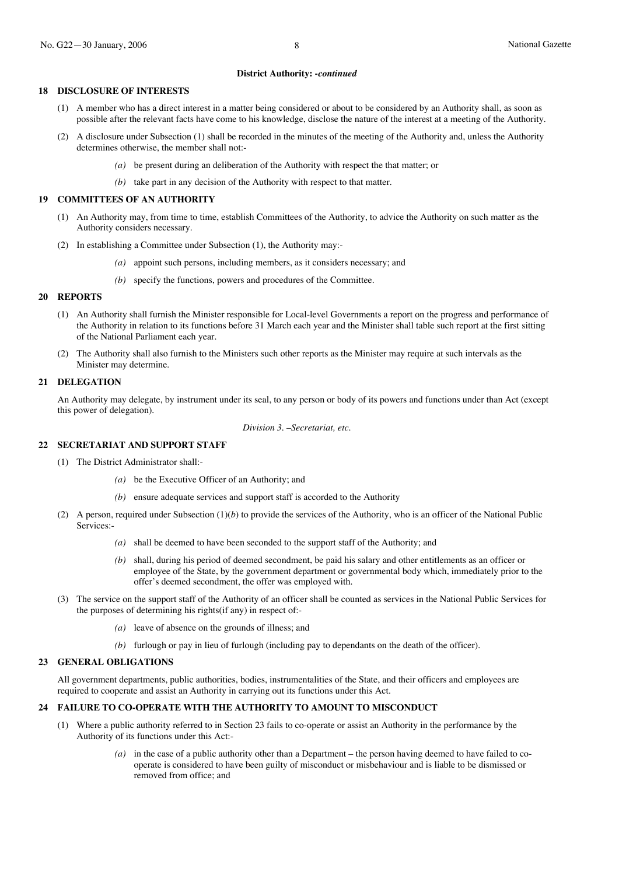#### **18 DISCLOSURE OF INTERESTS**

- (1) A member who has a direct interest in a matter being considered or about to be considered by an Authority shall, as soon as possible after the relevant facts have come to his knowledge, disclose the nature of the interest at a meeting of the Authority.
- (2) A disclosure under Subsection (1) shall be recorded in the minutes of the meeting of the Authority and, unless the Authority determines otherwise, the member shall not:-
	- *(a)* be present during an deliberation of the Authority with respect the that matter; or
	- *(b)* take part in any decision of the Authority with respect to that matter.

#### **19 COMMITTEES OF AN AUTHORITY**

- (1) An Authority may, from time to time, establish Committees of the Authority, to advice the Authority on such matter as the Authority considers necessary.
- (2) In establishing a Committee under Subsection (1), the Authority may:-
	- *(a)* appoint such persons, including members, as it considers necessary; and
	- *(b)* specify the functions, powers and procedures of the Committee.

#### **20 REPORTS**

- (1) An Authority shall furnish the Minister responsible for Local-level Governments a report on the progress and performance of the Authority in relation to its functions before 31 March each year and the Minister shall table such report at the first sitting of the National Parliament each year.
- (2) The Authority shall also furnish to the Ministers such other reports as the Minister may require at such intervals as the Minister may determine.

#### **21 DELEGATION**

An Authority may delegate, by instrument under its seal, to any person or body of its powers and functions under than Act (except this power of delegation).

*Division 3*. –*Secretariat, etc.*

#### **22 SECRETARIAT AND SUPPORT STAFF**

- (1) The District Administrator shall:-
	- *(a)* be the Executive Officer of an Authority; and
	- *(b)* ensure adequate services and support staff is accorded to the Authority
- (2) A person, required under Subsection  $(1)(b)$  to provide the services of the Authority, who is an officer of the National Public Services:-
	- *(a)* shall be deemed to have been seconded to the support staff of the Authority; and
	- *(b)* shall, during his period of deemed secondment, be paid his salary and other entitlements as an officer or employee of the State, by the government department or governmental body which, immediately prior to the offer's deemed secondment, the offer was employed with.
- (3) The service on the support staff of the Authority of an officer shall be counted as services in the National Public Services for the purposes of determining his rights(if any) in respect of:-
	- *(a)* leave of absence on the grounds of illness; and
	- *(b)* furlough or pay in lieu of furlough (including pay to dependants on the death of the officer).

#### **23 GENERAL OBLIGATIONS**

All government departments, public authorities, bodies, instrumentalities of the State, and their officers and employees are required to cooperate and assist an Authority in carrying out its functions under this Act.

#### **24 FAILURE TO CO-OPERATE WITH THE AUTHORITY TO AMOUNT TO MISCONDUCT**

- (1) Where a public authority referred to in Section 23 fails to co-operate or assist an Authority in the performance by the Authority of its functions under this Act:-
	- *(a)* in the case of a public authority other than a Department the person having deemed to have failed to cooperate is considered to have been guilty of misconduct or misbehaviour and is liable to be dismissed or removed from office; and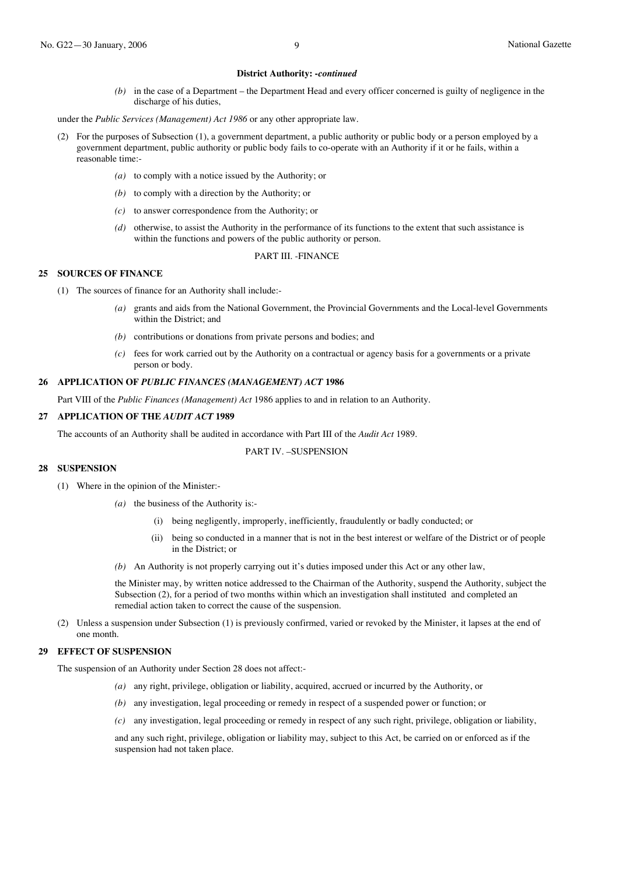*(b)* in the case of a Department – the Department Head and every officer concerned is guilty of negligence in the discharge of his duties,

under the *Public Services (Management) Act 1986* or any other appropriate law.

- (2) For the purposes of Subsection (1), a government department, a public authority or public body or a person employed by a government department, public authority or public body fails to co-operate with an Authority if it or he fails, within a reasonable time:-
	- *(a)* to comply with a notice issued by the Authority; or
	- *(b)* to comply with a direction by the Authority; or
	- *(c)* to answer correspondence from the Authority; or
	- *(d)* otherwise, to assist the Authority in the performance of its functions to the extent that such assistance is within the functions and powers of the public authority or person.

#### PART III. -FINANCE

#### **25 SOURCES OF FINANCE**

- (1) The sources of finance for an Authority shall include:-
	- *(a)* grants and aids from the National Government, the Provincial Governments and the Local-level Governments within the District; and
	- *(b)* contributions or donations from private persons and bodies; and
	- *(c)* fees for work carried out by the Authority on a contractual or agency basis for a governments or a private person or body.

#### **26 APPLICATION OF** *PUBLIC FINANCES (MANAGEMENT) ACT* **1986**

Part VIII of the *Public Finances (Management) Act* 1986 applies to and in relation to an Authority.

#### **27 APPLICATION OF THE** *AUDIT ACT* **1989**

The accounts of an Authority shall be audited in accordance with Part III of the *Audit Act* 1989.

#### PART IV. –SUSPENSION

#### **28 SUSPENSION**

- (1) Where in the opinion of the Minister:-
	- *(a)* the business of the Authority is:-
		- (i) being negligently, improperly, inefficiently, fraudulently or badly conducted; or
		- (ii) being so conducted in a manner that is not in the best interest or welfare of the District or of people in the District; or
	- *(b)* An Authority is not properly carrying out it's duties imposed under this Act or any other law,

the Minister may, by written notice addressed to the Chairman of the Authority, suspend the Authority, subject the Subsection (2), for a period of two months within which an investigation shall instituted and completed an remedial action taken to correct the cause of the suspension.

(2) Unless a suspension under Subsection (1) is previously confirmed, varied or revoked by the Minister, it lapses at the end of one month.

#### **29 EFFECT OF SUSPENSION**

The suspension of an Authority under Section 28 does not affect:-

- *(a)* any right, privilege, obligation or liability, acquired, accrued or incurred by the Authority, or
- *(b)* any investigation, legal proceeding or remedy in respect of a suspended power or function; or
- *(c)* any investigation, legal proceeding or remedy in respect of any such right, privilege, obligation or liability,

and any such right, privilege, obligation or liability may, subject to this Act, be carried on or enforced as if the suspension had not taken place.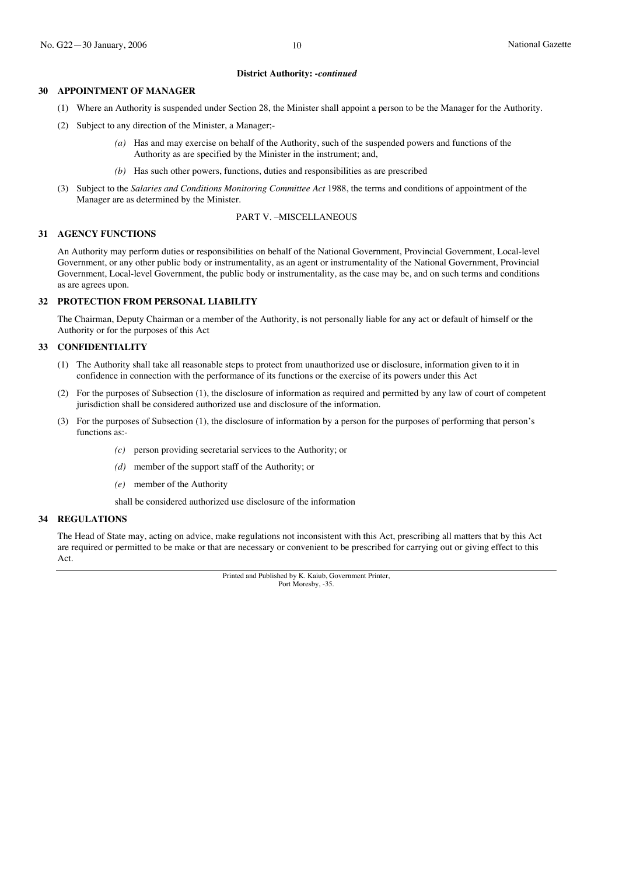#### **30 APPOINTMENT OF MANAGER**

- (1) Where an Authority is suspended under Section 28, the Minister shall appoint a person to be the Manager for the Authority.
- (2) Subject to any direction of the Minister, a Manager;-
	- *(a)* Has and may exercise on behalf of the Authority, such of the suspended powers and functions of the Authority as are specified by the Minister in the instrument; and,
	- *(b)* Has such other powers, functions, duties and responsibilities as are prescribed
- (3) Subject to the *Salaries and Conditions Monitoring Committee Act* 1988, the terms and conditions of appointment of the Manager are as determined by the Minister.

#### PART V. –MISCELLANEOUS

#### **31 AGENCY FUNCTIONS**

An Authority may perform duties or responsibilities on behalf of the National Government, Provincial Government, Local-level Government, or any other public body or instrumentality, as an agent or instrumentality of the National Government, Provincial Government, Local-level Government, the public body or instrumentality, as the case may be, and on such terms and conditions as are agrees upon.

#### **32 PROTECTION FROM PERSONAL LIABILITY**

The Chairman, Deputy Chairman or a member of the Authority, is not personally liable for any act or default of himself or the Authority or for the purposes of this Act

#### **33 CONFIDENTIALITY**

- (1) The Authority shall take all reasonable steps to protect from unauthorized use or disclosure, information given to it in confidence in connection with the performance of its functions or the exercise of its powers under this Act
- (2) For the purposes of Subsection (1), the disclosure of information as required and permitted by any law of court of competent jurisdiction shall be considered authorized use and disclosure of the information.
- (3) For the purposes of Subsection (1), the disclosure of information by a person for the purposes of performing that person's functions as:-
	- *(c)* person providing secretarial services to the Authority; or
	- *(d)* member of the support staff of the Authority; or
	- *(e)* member of the Authority

shall be considered authorized use disclosure of the information

#### **34 REGULATIONS**

The Head of State may, acting on advice, make regulations not inconsistent with this Act, prescribing all matters that by this Act are required or permitted to be make or that are necessary or convenient to be prescribed for carrying out or giving effect to this Act.

> Printed and Published by K. Kaiub, Government Printer, Port Moresby, -35.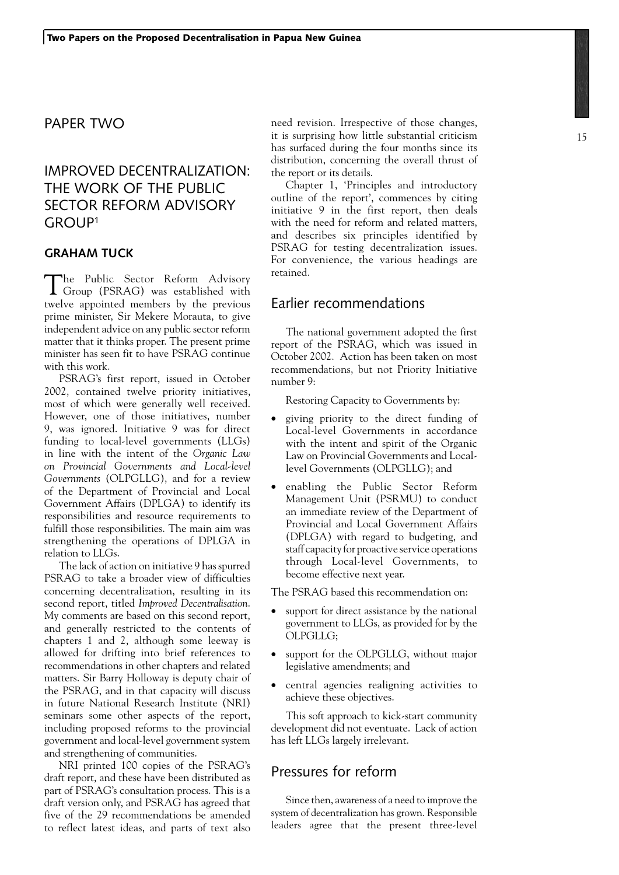## PAPER TWO

# IMPROVED DECENTRALIZATION: THE WORK OF THE PUBLIC SECTOR REFORM ADVISORY GROUP1

#### **Graham Tuck**

The Public Sector Reform Advisory Group (PSRAG) was established with twelve appointed members by the previous prime minister, Sir Mekere Morauta, to give independent advice on any public sector reform matter that it thinks proper. The present prime minister has seen fit to have PSRAG continue with this work.

PSRAG's first report, issued in October 2002, contained twelve priority initiatives, most of which were generally well received. However, one of those initiatives, number 9, was ignored. Initiative 9 was for direct funding to local-level governments (LLGs) in line with the intent of the *Organic Law on Provincial Governments and Local-level Governments* (OLPGLLG), and for a review of the Department of Provincial and Local Government Affairs (DPLGA) to identify its responsibilities and resource requirements to fulfill those responsibilities. The main aim was strengthening the operations of DPLGA in relation to LLGs.

The lack of action on initiative 9 has spurred PSRAG to take a broader view of difficulties concerning decentralization, resulting in its second report, titled *Improved Decentralisation*. My comments are based on this second report, and generally restricted to the contents of chapters 1 and 2, although some leeway is allowed for drifting into brief references to recommendations in other chapters and related matters. Sir Barry Holloway is deputy chair of the PSRAG, and in that capacity will discuss in future National Research Institute (NRI) seminars some other aspects of the report, including proposed reforms to the provincial government and local-level government system and strengthening of communities.

NRI printed 100 copies of the PSRAG's draft report, and these have been distributed as part of PSRAG's consultation process. This is a draft version only, and PSRAG has agreed that five of the 29 recommendations be amended to reflect latest ideas, and parts of text also

need revision. Irrespective of those changes, it is surprising how little substantial criticism has surfaced during the four months since its distribution, concerning the overall thrust of the report or its details.

Chapter 1, 'Principles and introductory outline of the report', commences by citing initiative 9 in the first report, then deals with the need for reform and related matters, and describes six principles identified by PSRAG for testing decentralization issues. For convenience, the various headings are retained.

## Earlier recommendations

The national government adopted the first report of the PSRAG, which was issued in October 2002. Action has been taken on most recommendations, but not Priority Initiative number 9:

Restoring Capacity to Governments by:

- giving priority to the direct funding of Local-level Governments in accordance with the intent and spirit of the Organic Law on Provincial Governments and Locallevel Governments (OLPGLLG); and
- enabling the Public Sector Reform Management Unit (PSRMU) to conduct an immediate review of the Department of Provincial and Local Government Affairs (DPLGA) with regard to budgeting, and staff capacity for proactive service operations through Local-level Governments, to become effective next year.

The PSRAG based this recommendation on:

- support for direct assistance by the national government to LLGs, as provided for by the OLPGLLG;
- support for the OLPGLLG, without major legislative amendments; and
- central agencies realigning activities to achieve these objectives.

This soft approach to kick-start community development did not eventuate. Lack of action has left LLGs largely irrelevant.

## Pressures for reform

Since then, awareness of a need to improve the system of decentralization has grown. Responsible leaders agree that the present three-level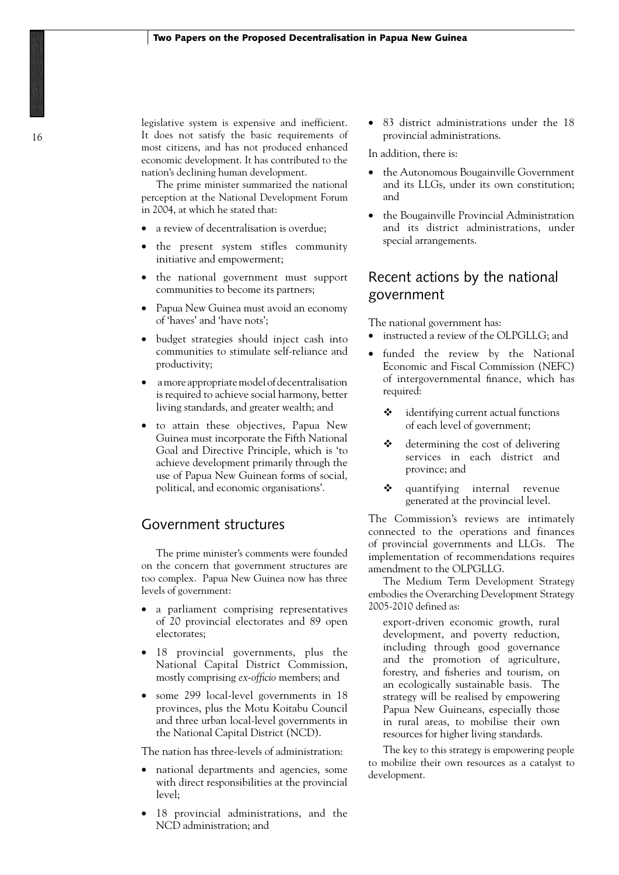legislative system is expensive and inefficient. It does not satisfy the basic requirements of most citizens, and has not produced enhanced economic development. It has contributed to the nation's declining human development.

The prime minister summarized the national perception at the National Development Forum in 2004, at which he stated that:

- a review of decentralisation is overdue:
- the present system stifles community initiative and empowerment;
- the national government must support communities to become its partners;
- Papua New Guinea must avoid an economy of 'haves' and 'have nots';
- • budget strategies should inject cash into communities to stimulate self-reliance and productivity;
- a more appropriate model of decentralisation is required to achieve social harmony, better living standards, and greater wealth; and
- • to attain these objectives, Papua New Guinea must incorporate the Fifth National Goal and Directive Principle, which is 'to achieve development primarily through the use of Papua New Guinean forms of social, political, and economic organisations'.

## Government structures

The prime minister's comments were founded on the concern that government structures are too complex. Papua New Guinea now has three levels of government:

- a parliament comprising representatives of 20 provincial electorates and 89 open electorates;
- 18 provincial governments, plus the National Capital District Commission, mostly comprising *ex-officio* members; and
- some 299 local-level governments in 18 provinces, plus the Motu Koitabu Council and three urban local-level governments in the National Capital District (NCD).

The nation has three-levels of administration:

- national departments and agencies, some with direct responsibilities at the provincial level;
- 18 provincial administrations, and the NCD administration; and

83 district administrations under the 18 provincial administrations.

In addition, there is:

- the Autonomous Bougainville Government and its LLGs, under its own constitution; and
- the Bougainville Provincial Administration and its district administrations, under special arrangements.

## Recent actions by the national government

The national government has:

- instructed a review of the OLPGLLG; and
- funded the review by the National Economic and Fiscal Commission (NEFC) of intergovernmental finance, which has required:
	- $\triangleleft$  identifying current actual functions of each level of government;
	- $\triangleleft$  determining the cost of delivering services in each district and province; and
	- $\dots$  quantifying internal revenue generated at the provincial level.

The Commission's reviews are intimately connected to the operations and finances of provincial governments and LLGs. The implementation of recommendations requires amendment to the OLPGLLG.

The Medium Term Development Strategy embodies the Overarching Development Strategy 2005-2010 defined as:

export-driven economic growth, rural development, and poverty reduction, including through good governance and the promotion of agriculture, forestry, and fisheries and tourism, on an ecologically sustainable basis. The strategy will be realised by empowering Papua New Guineans, especially those in rural areas, to mobilise their own resources for higher living standards.

The key to this strategy is empowering people to mobilize their own resources as a catalyst to development.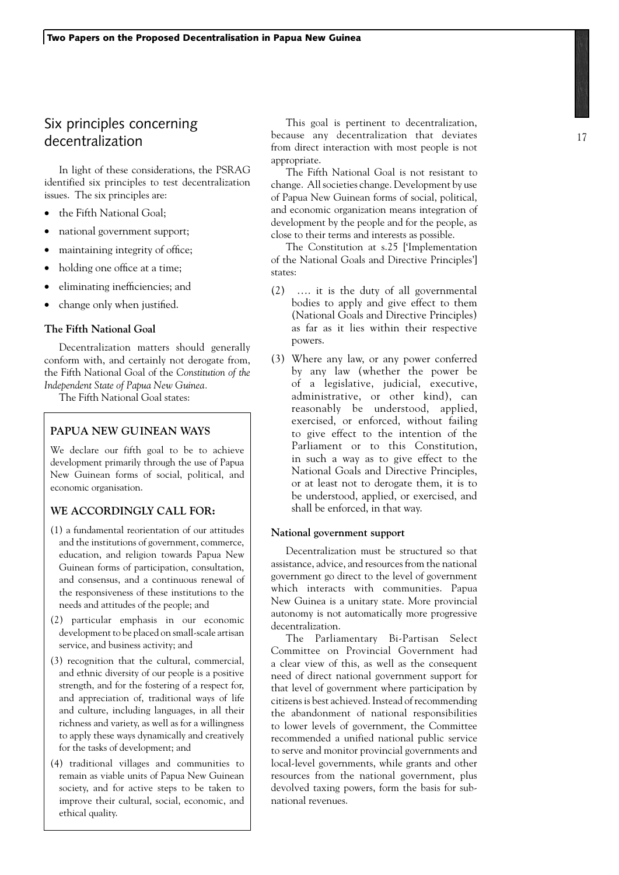# Six principles concerning decentralization

In light of these considerations, the PSRAG identified six principles to test decentralization issues. The six principles are:

- the Fifth National Goal:
- national government support;
- maintaining integrity of office;
- holding one office at a time;
- eliminating inefficiencies; and
- change only when justified.

#### **The Fifth National Goal**

Decentralization matters should generally conform with, and certainly not derogate from, the Fifth National Goal of the *Constitution of the Independent State of Papua New Guinea.*

The Fifth National Goal states:

### **PAPUA NEW GUINEAN WAYS**

We declare our fifth goal to be to achieve development primarily through the use of Papua New Guinean forms of social, political, and economic organisation.

## **WE ACCORDINGLY CALL FOR:**

- (1) a fundamental reorientation of our attitudes and the institutions of government, commerce, education, and religion towards Papua New Guinean forms of participation, consultation, and consensus, and a continuous renewal of the responsiveness of these institutions to the needs and attitudes of the people; and
- (2) particular emphasis in our economic development to be placed on small-scale artisan service, and business activity; and
- (3) recognition that the cultural, commercial, and ethnic diversity of our people is a positive strength, and for the fostering of a respect for, and appreciation of, traditional ways of life and culture, including languages, in all their richness and variety, as well as for a willingness to apply these ways dynamically and creatively for the tasks of development; and
- (4) traditional villages and communities to remain as viable units of Papua New Guinean society, and for active steps to be taken to improve their cultural, social, economic, and ethical quality.

This goal is pertinent to decentralization, because any decentralization that deviates from direct interaction with most people is not appropriate.

The Fifth National Goal is not resistant to change. All societies change. Development by use of Papua New Guinean forms of social, political, and economic organization means integration of development by the people and for the people, as close to their terms and interests as possible.

The Constitution at s.25 ['Implementation of the National Goals and Directive Principles'] states:

- (2) …. it is the duty of all governmental bodies to apply and give effect to them (National Goals and Directive Principles) as far as it lies within their respective powers.
- (3) Where any law, or any power conferred by any law (whether the power be of a legislative, judicial, executive, administrative, or other kind), can reasonably be understood, applied, exercised, or enforced, without failing to give effect to the intention of the Parliament or to this Constitution, in such a way as to give effect to the National Goals and Directive Principles, or at least not to derogate them, it is to be understood, applied, or exercised, and shall be enforced, in that way.

#### **National government support**

Decentralization must be structured so that assistance, advice, and resources from the national government go direct to the level of government which interacts with communities. Papua New Guinea is a unitary state. More provincial autonomy is not automatically more progressive decentralization.

The Parliamentary Bi-Partisan Select Committee on Provincial Government had a clear view of this, as well as the consequent need of direct national government support for that level of government where participation by citizens is best achieved. Instead of recommending the abandonment of national responsibilities to lower levels of government, the Committee recommended a unified national public service to serve and monitor provincial governments and local-level governments, while grants and other resources from the national government, plus devolved taxing powers, form the basis for subnational revenues.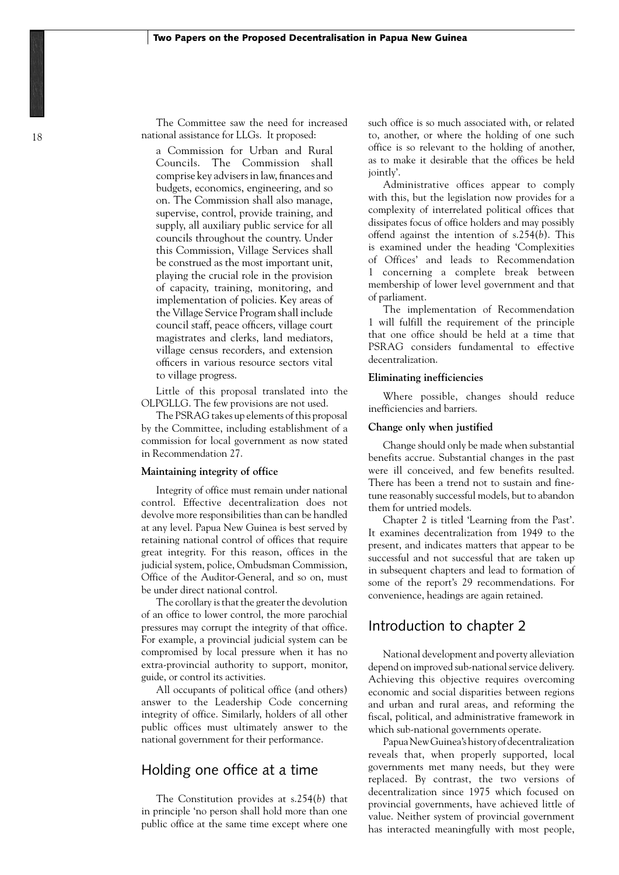The Committee saw the need for increased national assistance for LLGs. It proposed:

a Commission for Urban and Rural Councils. The Commission shall comprise key advisers in law, finances and budgets, economics, engineering, and so on. The Commission shall also manage, supervise, control, provide training, and supply, all auxiliary public service for all councils throughout the country. Under this Commission, Village Services shall be construed as the most important unit, playing the crucial role in the provision of capacity, training, monitoring, and implementation of policies. Key areas of the Village Service Program shall include council staff, peace officers, village court magistrates and clerks, land mediators, village census recorders, and extension officers in various resource sectors vital to village progress.

Little of this proposal translated into the OLPGLLG. The few provisions are not used.

The PSRAG takes up elements of this proposal by the Committee, including establishment of a commission for local government as now stated in Recommendation 27.

#### **Maintaining integrity of office**

Integrity of office must remain under national control. Effective decentralization does not devolve more responsibilities than can be handled at any level. Papua New Guinea is best served by retaining national control of offices that require great integrity. For this reason, offices in the judicial system, police, Ombudsman Commission, Office of the Auditor-General, and so on, must be under direct national control.

The corollary is that the greater the devolution of an office to lower control, the more parochial pressures may corrupt the integrity of that office. For example, a provincial judicial system can be compromised by local pressure when it has no extra-provincial authority to support, monitor, guide, or control its activities.

All occupants of political office (and others) answer to the Leadership Code concerning integrity of office. Similarly, holders of all other public offices must ultimately answer to the national government for their performance.

## Holding one office at a time

The Constitution provides at s.254(*b*) that in principle 'no person shall hold more than one public office at the same time except where one such office is so much associated with, or related to, another, or where the holding of one such office is so relevant to the holding of another, as to make it desirable that the offices be held jointly'.

Administrative offices appear to comply with this, but the legislation now provides for a complexity of interrelated political offices that dissipates focus of office holders and may possibly offend against the intention of s.254(*b*). This is examined under the heading 'Complexities of Offices' and leads to Recommendation 1 concerning a complete break between membership of lower level government and that of parliament.

The implementation of Recommendation 1 will fulfill the requirement of the principle that one office should be held at a time that PSRAG considers fundamental to effective decentralization.

#### **Eliminating inefficiencies**

Where possible, changes should reduce inefficiencies and barriers.

#### **Change only when justified**

Change should only be made when substantial benefits accrue. Substantial changes in the past were ill conceived, and few benefits resulted. There has been a trend not to sustain and finetune reasonably successful models, but to abandon them for untried models.

Chapter 2 is titled 'Learning from the Past'. It examines decentralization from 1949 to the present, and indicates matters that appear to be successful and not successful that are taken up in subsequent chapters and lead to formation of some of the report's 29 recommendations. For convenience, headings are again retained.

## Introduction to chapter 2

National development and poverty alleviation depend on improved sub-national service delivery. Achieving this objective requires overcoming economic and social disparities between regions and urban and rural areas, and reforming the fiscal, political, and administrative framework in which sub-national governments operate.

Papua New Guinea's history of decentralization reveals that, when properly supported, local governments met many needs, but they were replaced. By contrast, the two versions of decentralization since 1975 which focused on provincial governments, have achieved little of value. Neither system of provincial government has interacted meaningfully with most people,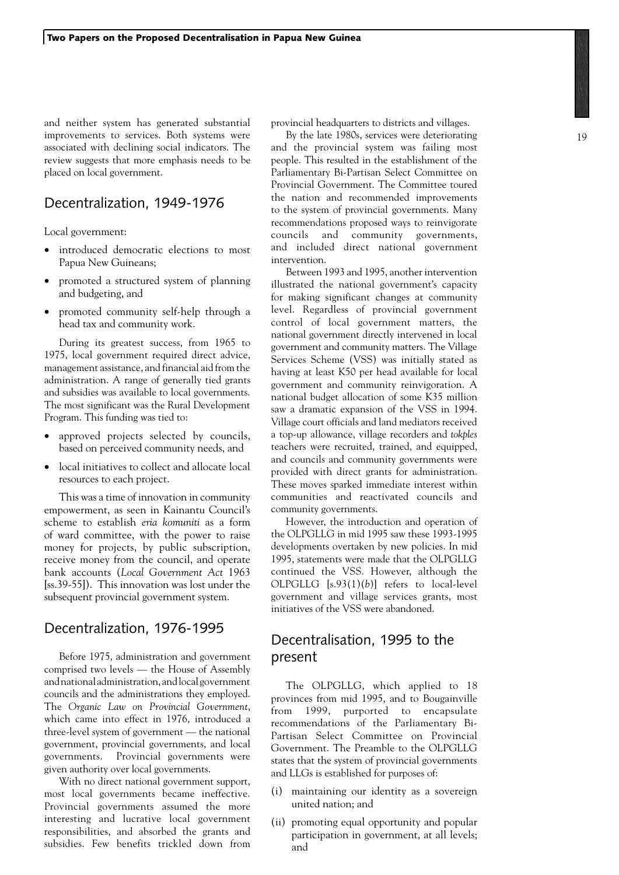and neither system has generated substantial improvements to services. Both systems were associated with declining social indicators. The review suggests that more emphasis needs to be placed on local government.

## Decentralization, 1949-1976

Local government:

- introduced democratic elections to most Papua New Guineans;
- promoted a structured system of planning and budgeting, and
- promoted community self-help through a head tax and community work.

During its greatest success, from 1965 to 1975, local government required direct advice, management assistance, and financial aid from the administration. A range of generally tied grants and subsidies was available to local governments. The most significant was the Rural Development Program. This funding was tied to:

- approved projects selected by councils, based on perceived community needs, and
- local initiatives to collect and allocate local resources to each project.

This was a time of innovation in community empowerment, as seen in Kainantu Council's scheme to establish *eria komuniti* as a form of ward committee, with the power to raise money for projects, by public subscription, receive money from the council, and operate bank accounts (*Local Government Act* 1963 [ss.39-55]). This innovation was lost under the subsequent provincial government system.

## Decentralization, 1976-1995

Before 1975, administration and government comprised two levels — the House of Assembly and national administration, and local government councils and the administrations they employed. The *Organic Law on Provincial Government*, which came into effect in 1976, introduced a three-level system of government — the national government, provincial governments, and local governments. Provincial governments were given authority over local governments.

With no direct national government support, most local governments became ineffective. Provincial governments assumed the more interesting and lucrative local government responsibilities, and absorbed the grants and subsidies. Few benefits trickled down from provincial headquarters to districts and villages.

By the late 1980s, services were deteriorating and the provincial system was failing most people. This resulted in the establishment of the Parliamentary Bi-Partisan Select Committee on Provincial Government. The Committee toured the nation and recommended improvements to the system of provincial governments. Many recommendations proposed ways to reinvigorate councils and community governments, and included direct national government intervention.

Between 1993 and 1995, another intervention illustrated the national government's capacity for making significant changes at community level. Regardless of provincial government control of local government matters, the national government directly intervened in local government and community matters. The Village Services Scheme (VSS) was initially stated as having at least K50 per head available for local government and community reinvigoration. A national budget allocation of some K35 million saw a dramatic expansion of the VSS in 1994. Village court officials and land mediators received a top-up allowance, village recorders and *tokples*  teachers were recruited, trained, and equipped, and councils and community governments were provided with direct grants for administration. These moves sparked immediate interest within communities and reactivated councils and community governments.

However, the introduction and operation of the OLPGLLG in mid 1995 saw these 1993-1995 developments overtaken by new policies. In mid 1995, statements were made that the OLPGLLG continued the VSS. However, although the OLPGLLG [s.93(1)(*b*)] refers to local-level government and village services grants, most initiatives of the VSS were abandoned.

# Decentralisation, 1995 to the present

The OLPGLLG, which applied to 18 provinces from mid 1995, and to Bougainville from 1999, purported to encapsulate recommendations of the Parliamentary Bi-Partisan Select Committee on Provincial Government. The Preamble to the OLPGLLG states that the system of provincial governments and LLGs is established for purposes of:

- (i) maintaining our identity as a sovereign united nation; and
- (ii) promoting equal opportunity and popular participation in government, at all levels; and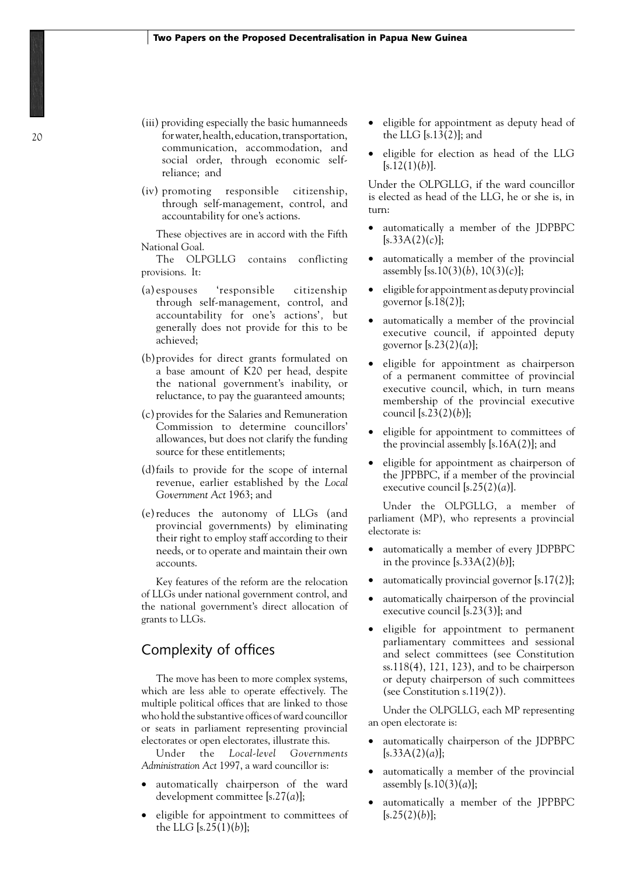- (iii) providing especially the basic humanneeds for water, health, education, transportation, communication, accommodation, and social order, through economic selfreliance; and
- (iv) promoting responsible citizenship, through self-management, control, and accountability for one's actions.

These objectives are in accord with the Fifth National Goal.

The OLPGLLG contains conflicting provisions. It:

- (a) espouses 'responsible citizenship through self-management, control, and accountability for one's actions'*,* but generally does not provide for this to be achieved;
- (b)provides for direct grants formulated on a base amount of K20 per head, despite the national government's inability, or reluctance, to pay the guaranteed amounts;
- (c) provides for the Salaries and Remuneration Commission to determine councillors' allowances, but does not clarify the funding source for these entitlements;
- (d)fails to provide for the scope of internal revenue, earlier established by the *Local Government Act* 1963; and
- (e)reduces the autonomy of LLGs (and provincial governments) by eliminating their right to employ staff according to their needs, or to operate and maintain their own accounts.

Key features of the reform are the relocation of LLGs under national government control, and the national government's direct allocation of grants to LLGs.

## Complexity of offices

The move has been to more complex systems, which are less able to operate effectively. The multiple political offices that are linked to those who hold the substantive offices of ward councillor or seats in parliament representing provincial electorates or open electorates, illustrate this.

Under the *Local-level Governments Administration Act* 1997, a ward councillor is:

- automatically chairperson of the ward development committee [s.27(*a*)];
- eligible for appointment to committees of the LLG [s.25(1)(*b*)];
- eligible for appointment as deputy head of the LLG [s.13(2)]; and
- eligible for election as head of the LLG  $[s.12(1)(b)].$

Under the OLPGLLG, if the ward councillor is elected as head of the LLG, he or she is, in turn:

- automatically a member of the JDPBPC  $[s.33A(2)(c)];$
- automatically a member of the provincial assembly [ss.10(3)(*b*), 10(3)(*c*)];
- • eligible for appointment as deputy provincial governor  $[s.18(2)]$ ;
- automatically a member of the provincial executive council, if appointed deputy governor [s.23(2)(*a*)];
- eligible for appointment as chairperson of a permanent committee of provincial executive council, which, in turn means membership of the provincial executive council [s.23(2)(*b*)];
- eligible for appointment to committees of the provincial assembly  $[s.16A(2)]$ ; and
- eligible for appointment as chairperson of the JPPBPC, if a member of the provincial executive council  $[s.25(2)(a)].$

Under the OLPGLLG, a member of parliament (MP), who represents a provincial electorate is:

- automatically a member of every JDPBPC in the province  $[s.33A(2)(b)];$
- automatically provincial governor  $[s.17(2)];$
- automatically chairperson of the provincial executive council [s.23(3)]; and
- eligible for appointment to permanent parliamentary committees and sessional and select committees (see Constitution ss.118(4), 121, 123), and to be chairperson or deputy chairperson of such committees (see Constitution s.119(2)).

Under the OLPGLLG, each MP representing an open electorate is:

- automatically chairperson of the JDPBPC  $[s.33A(2)(a)];$
- automatically a member of the provincial assembly [s.10(3)(*a*)];
- automatically a member of the JPPBPC  $[s.25(2)(b)];$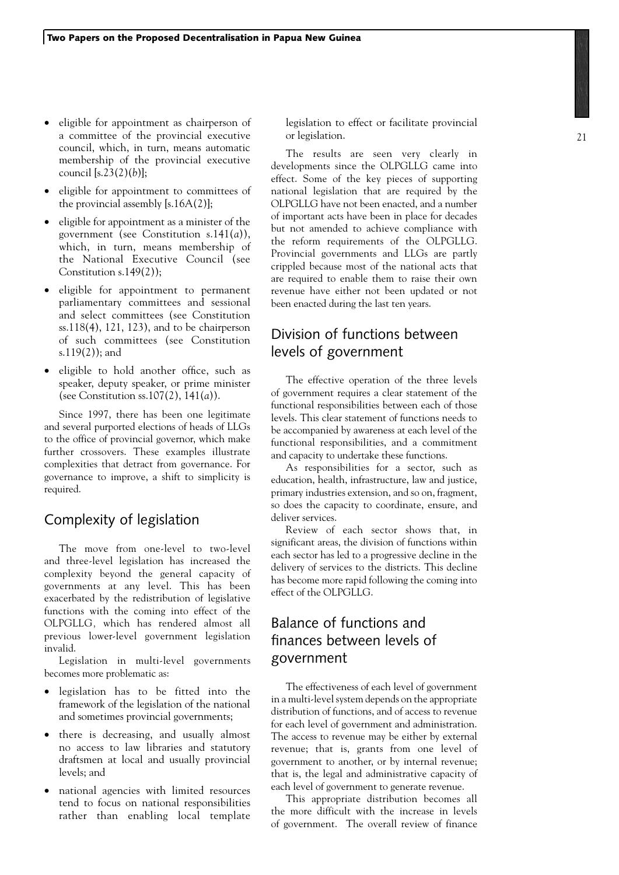- eligible for appointment as chairperson of a committee of the provincial executive council, which, in turn, means automatic membership of the provincial executive council [s.23(2)(*b*)];
- eligible for appointment to committees of the provincial assembly  $[s.16A(2)];$
- • eligible for appointment as a minister of the government (see Constitution s.141(*a*)), which, in turn, means membership of the National Executive Council (see Constitution s.149(2));
- • eligible for appointment to permanent parliamentary committees and sessional and select committees (see Constitution ss.118(4), 121, 123), and to be chairperson of such committees (see Constitution s.119(2)); and
- • eligible to hold another office, such as speaker, deputy speaker, or prime minister (see Constitution ss.107(2), 141(*a*)).

Since 1997, there has been one legitimate and several purported elections of heads of LLGs to the office of provincial governor, which make further crossovers. These examples illustrate complexities that detract from governance. For governance to improve, a shift to simplicity is required.

## Complexity of legislation

The move from one-level to two-level and three-level legislation has increased the complexity beyond the general capacity of governments at any level. This has been exacerbated by the redistribution of legislative functions with the coming into effect of the OLPGLLG*,* which has rendered almost all previous lower-level government legislation invalid.

Legislation in multi-level governments becomes more problematic as:

- • legislation has to be fitted into the framework of the legislation of the national and sometimes provincial governments;
- there is decreasing, and usually almost no access to law libraries and statutory draftsmen at local and usually provincial levels; and
- national agencies with limited resources tend to focus on national responsibilities rather than enabling local template

legislation to effect or facilitate provincial or legislation.

The results are seen very clearly in developments since the OLPGLLG came into effect. Some of the key pieces of supporting national legislation that are required by the OLPGLLG have not been enacted, and a number of important acts have been in place for decades but not amended to achieve compliance with the reform requirements of the OLPGLLG. Provincial governments and LLGs are partly crippled because most of the national acts that are required to enable them to raise their own revenue have either not been updated or not been enacted during the last ten years.

# Division of functions between levels of government

The effective operation of the three levels of government requires a clear statement of the functional responsibilities between each of those levels. This clear statement of functions needs to be accompanied by awareness at each level of the functional responsibilities, and a commitment and capacity to undertake these functions.

As responsibilities for a sector, such as education, health, infrastructure, law and justice, primary industries extension, and so on, fragment, so does the capacity to coordinate, ensure, and deliver services.

Review of each sector shows that, in significant areas, the division of functions within each sector has led to a progressive decline in the delivery of services to the districts. This decline has become more rapid following the coming into effect of the OLPGLLG.

# Balance of functions and finances between levels of government

The effectiveness of each level of government in a multi-level system depends on the appropriate distribution of functions, and of access to revenue for each level of government and administration. The access to revenue may be either by external revenue; that is, grants from one level of government to another, or by internal revenue; that is, the legal and administrative capacity of each level of government to generate revenue.

This appropriate distribution becomes all the more difficult with the increase in levels of government. The overall review of finance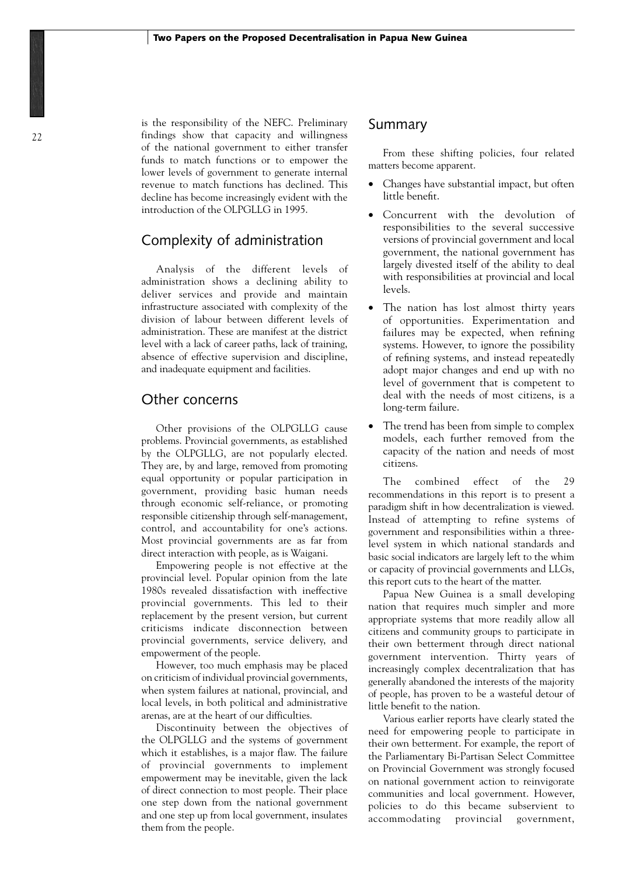is the responsibility of the NEFC. Preliminary findings show that capacity and willingness of the national government to either transfer funds to match functions or to empower the lower levels of government to generate internal revenue to match functions has declined. This decline has become increasingly evident with the introduction of the OLPGLLG in 1995.

## Complexity of administration

Analysis of the different levels of administration shows a declining ability to deliver services and provide and maintain infrastructure associated with complexity of the division of labour between different levels of administration. These are manifest at the district level with a lack of career paths, lack of training, absence of effective supervision and discipline, and inadequate equipment and facilities.

## Other concerns

Other provisions of the OLPGLLG cause problems. Provincial governments, as established by the OLPGLLG, are not popularly elected. They are, by and large, removed from promoting equal opportunity or popular participation in government, providing basic human needs through economic self-reliance, or promoting responsible citizenship through self-management, control, and accountability for one's actions. Most provincial governments are as far from direct interaction with people, as is Waigani.

Empowering people is not effective at the provincial level. Popular opinion from the late 1980s revealed dissatisfaction with ineffective provincial governments. This led to their replacement by the present version, but current criticisms indicate disconnection between provincial governments, service delivery, and empowerment of the people.

However, too much emphasis may be placed on criticism of individual provincial governments, when system failures at national, provincial, and local levels, in both political and administrative arenas, are at the heart of our difficulties.

Discontinuity between the objectives of the OLPGLLG and the systems of government which it establishes, is a major flaw. The failure of provincial governments to implement empowerment may be inevitable, given the lack of direct connection to most people. Their place one step down from the national government and one step up from local government, insulates them from the people.

## Summary

From these shifting policies, four related matters become apparent.

- Changes have substantial impact, but often little benefit.
- Concurrent with the devolution of responsibilities to the several successive versions of provincial government and local government, the national government has largely divested itself of the ability to deal with responsibilities at provincial and local levels.
- The nation has lost almost thirty years of opportunities. Experimentation and failures may be expected, when refining systems. However, to ignore the possibility of refining systems, and instead repeatedly adopt major changes and end up with no level of government that is competent to deal with the needs of most citizens, is a long-term failure.
- The trend has been from simple to complex models, each further removed from the capacity of the nation and needs of most citizens.

The combined effect of the 29 recommendations in this report is to present a paradigm shift in how decentralization is viewed. Instead of attempting to refine systems of government and responsibilities within a threelevel system in which national standards and basic social indicators are largely left to the whim or capacity of provincial governments and LLGs, this report cuts to the heart of the matter.

Papua New Guinea is a small developing nation that requires much simpler and more appropriate systems that more readily allow all citizens and community groups to participate in their own betterment through direct national government intervention. Thirty years of increasingly complex decentralization that has generally abandoned the interests of the majority of people, has proven to be a wasteful detour of little benefit to the nation.

Various earlier reports have clearly stated the need for empowering people to participate in their own betterment. For example, the report of the Parliamentary Bi-Partisan Select Committee on Provincial Government was strongly focused on national government action to reinvigorate communities and local government. However, policies to do this became subservient to accommodating provincial government,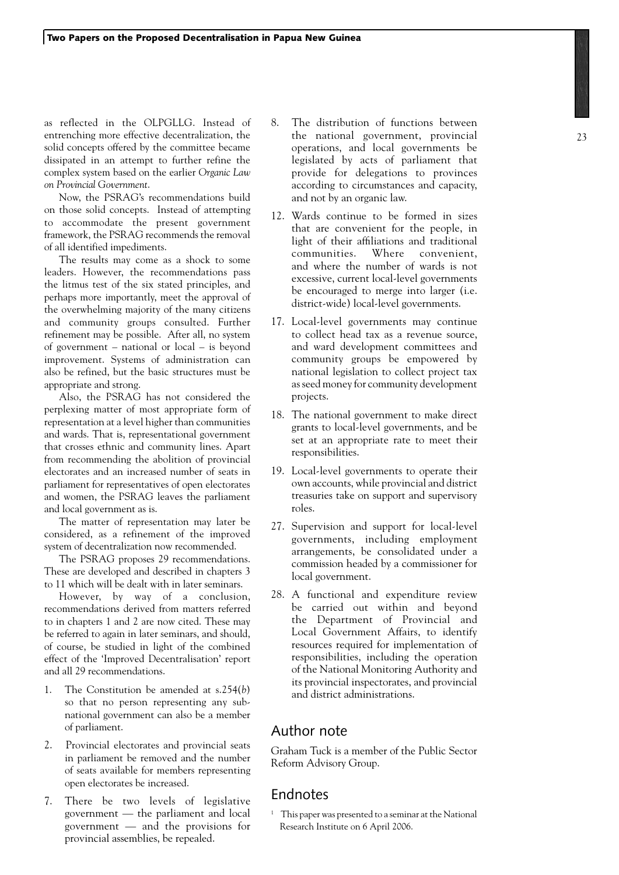as reflected in the OLPGLLG. Instead of entrenching more effective decentralization, the solid concepts offered by the committee became dissipated in an attempt to further refine the complex system based on the earlier *Organic Law on Provincial Government*.

Now, the PSRAG's recommendations build on those solid concepts. Instead of attempting to accommodate the present government framework, the PSRAG recommends the removal of all identified impediments.

The results may come as a shock to some leaders. However, the recommendations pass the litmus test of the six stated principles, and perhaps more importantly, meet the approval of the overwhelming majority of the many citizens and community groups consulted. Further refinement may be possible. After all, no system of government – national or local – is beyond improvement. Systems of administration can also be refined, but the basic structures must be appropriate and strong.

Also, the PSRAG has not considered the perplexing matter of most appropriate form of representation at a level higher than communities and wards. That is, representational government that crosses ethnic and community lines. Apart from recommending the abolition of provincial electorates and an increased number of seats in parliament for representatives of open electorates and women, the PSRAG leaves the parliament and local government as is.

The matter of representation may later be considered, as a refinement of the improved system of decentralization now recommended.

The PSRAG proposes 29 recommendations. These are developed and described in chapters 3 to 11 which will be dealt with in later seminars.

However, by way of a conclusion, recommendations derived from matters referred to in chapters 1 and 2 are now cited. These may be referred to again in later seminars, and should, of course, be studied in light of the combined effect of the 'Improved Decentralisation' report and all 29 recommendations.

- 1. The Constitution be amended at s.254(*b*) so that no person representing any subnational government can also be a member of parliament.
- 2. Provincial electorates and provincial seats in parliament be removed and the number of seats available for members representing open electorates be increased.
- 7. There be two levels of legislative government — the parliament and local government — and the provisions for provincial assemblies, be repealed.
- 8. The distribution of functions between the national government, provincial operations, and local governments be legislated by acts of parliament that provide for delegations to provinces according to circumstances and capacity, and not by an organic law.
- 12. Wards continue to be formed in sizes that are convenient for the people, in light of their affiliations and traditional communities. Where convenient, and where the number of wards is not excessive, current local-level governments be encouraged to merge into larger (i.e. district-wide) local-level governments.
- 17. Local-level governments may continue to collect head tax as a revenue source, and ward development committees and community groups be empowered by national legislation to collect project tax as seed money for community development projects.
- 18. The national government to make direct grants to local-level governments, and be set at an appropriate rate to meet their responsibilities.
- 19. Local-level governments to operate their own accounts, while provincial and district treasuries take on support and supervisory roles.
- 27. Supervision and support for local-level governments, including employment arrangements, be consolidated under a commission headed by a commissioner for local government.
- 28. A functional and expenditure review be carried out within and beyond the Department of Provincial and Local Government Affairs, to identify resources required for implementation of responsibilities, including the operation of the National Monitoring Authority and its provincial inspectorates, and provincial and district administrations.

## Author note

Graham Tuck is a member of the Public Sector Reform Advisory Group.

## Endnotes

<sup>1</sup> This paper was presented to a seminar at the National Research Institute on 6 April 2006.